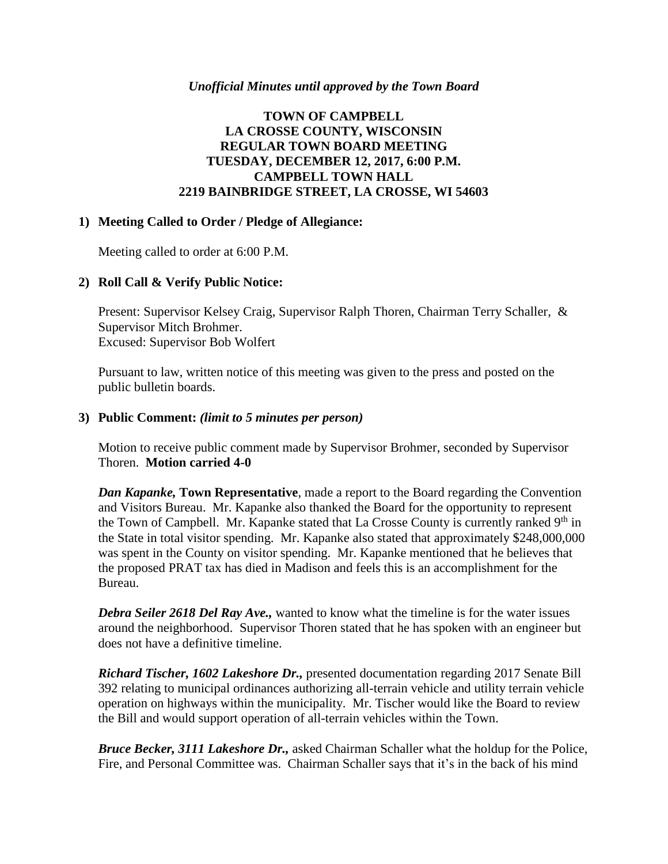#### *Unofficial Minutes until approved by the Town Board*

# **TOWN OF CAMPBELL LA CROSSE COUNTY, WISCONSIN REGULAR TOWN BOARD MEETING TUESDAY, DECEMBER 12, 2017, 6:00 P.M. CAMPBELL TOWN HALL 2219 BAINBRIDGE STREET, LA CROSSE, WI 54603**

### **1) Meeting Called to Order / Pledge of Allegiance:**

Meeting called to order at 6:00 P.M.

# **2) Roll Call & Verify Public Notice:**

Present: Supervisor Kelsey Craig, Supervisor Ralph Thoren, Chairman Terry Schaller, & Supervisor Mitch Brohmer. Excused: Supervisor Bob Wolfert

Pursuant to law, written notice of this meeting was given to the press and posted on the public bulletin boards.

### **3) Public Comment:** *(limit to 5 minutes per person)*

Motion to receive public comment made by Supervisor Brohmer, seconded by Supervisor Thoren. **Motion carried 4-0**

*Dan Kapanke,* **Town Representative**, made a report to the Board regarding the Convention and Visitors Bureau. Mr. Kapanke also thanked the Board for the opportunity to represent the Town of Campbell. Mr. Kapanke stated that La Crosse County is currently ranked  $9<sup>th</sup>$  in the State in total visitor spending. Mr. Kapanke also stated that approximately \$248,000,000 was spent in the County on visitor spending. Mr. Kapanke mentioned that he believes that the proposed PRAT tax has died in Madison and feels this is an accomplishment for the Bureau.

*Debra Seiler 2618 Del Ray Ave.,* wanted to know what the timeline is for the water issues around the neighborhood. Supervisor Thoren stated that he has spoken with an engineer but does not have a definitive timeline.

*Richard Tischer, 1602 Lakeshore Dr.,* presented documentation regarding 2017 Senate Bill 392 relating to municipal ordinances authorizing all-terrain vehicle and utility terrain vehicle operation on highways within the municipality. Mr. Tischer would like the Board to review the Bill and would support operation of all-terrain vehicles within the Town.

*Bruce Becker, 3111 Lakeshore Dr.,* asked Chairman Schaller what the holdup for the Police, Fire, and Personal Committee was. Chairman Schaller says that it's in the back of his mind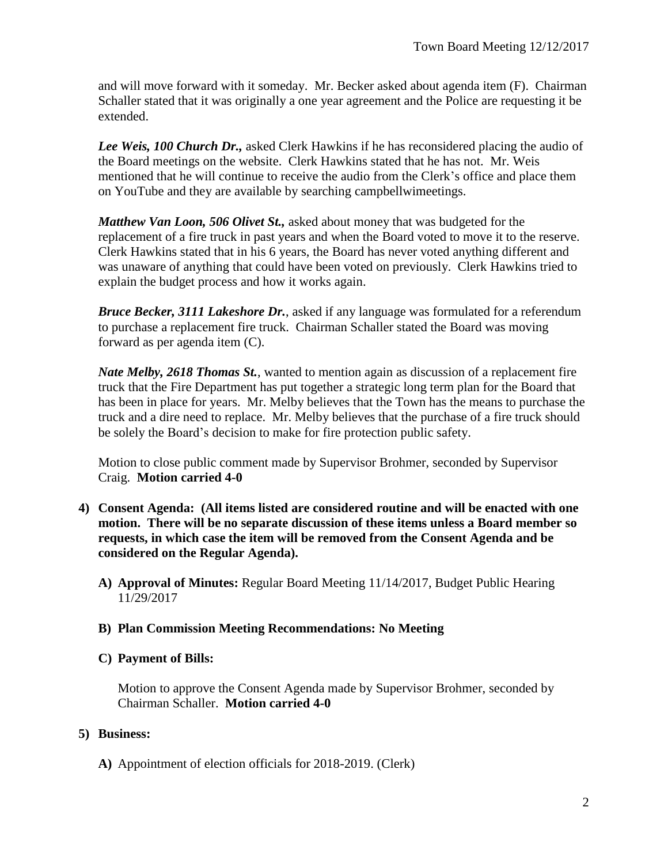and will move forward with it someday. Mr. Becker asked about agenda item (F). Chairman Schaller stated that it was originally a one year agreement and the Police are requesting it be extended.

*Lee Weis, 100 Church Dr.,* asked Clerk Hawkins if he has reconsidered placing the audio of the Board meetings on the website. Clerk Hawkins stated that he has not. Mr. Weis mentioned that he will continue to receive the audio from the Clerk's office and place them on YouTube and they are available by searching campbellwimeetings.

*Matthew Van Loon, 506 Olivet St.,* asked about money that was budgeted for the replacement of a fire truck in past years and when the Board voted to move it to the reserve. Clerk Hawkins stated that in his 6 years, the Board has never voted anything different and was unaware of anything that could have been voted on previously. Clerk Hawkins tried to explain the budget process and how it works again.

*Bruce Becker, 3111 Lakeshore Dr.*, asked if any language was formulated for a referendum to purchase a replacement fire truck. Chairman Schaller stated the Board was moving forward as per agenda item (C).

*Nate Melby, 2618 Thomas St.*, wanted to mention again as discussion of a replacement fire truck that the Fire Department has put together a strategic long term plan for the Board that has been in place for years. Mr. Melby believes that the Town has the means to purchase the truck and a dire need to replace. Mr. Melby believes that the purchase of a fire truck should be solely the Board's decision to make for fire protection public safety.

Motion to close public comment made by Supervisor Brohmer, seconded by Supervisor Craig. **Motion carried 4-0**

- **4) Consent Agenda: (All items listed are considered routine and will be enacted with one motion. There will be no separate discussion of these items unless a Board member so requests, in which case the item will be removed from the Consent Agenda and be considered on the Regular Agenda).**
	- **A) Approval of Minutes:** Regular Board Meeting 11/14/2017, Budget Public Hearing 11/29/2017
	- **B) Plan Commission Meeting Recommendations: No Meeting**

# **C) Payment of Bills:**

Motion to approve the Consent Agenda made by Supervisor Brohmer, seconded by Chairman Schaller. **Motion carried 4-0**

# **5) Business:**

**A)** Appointment of election officials for 2018-2019. (Clerk)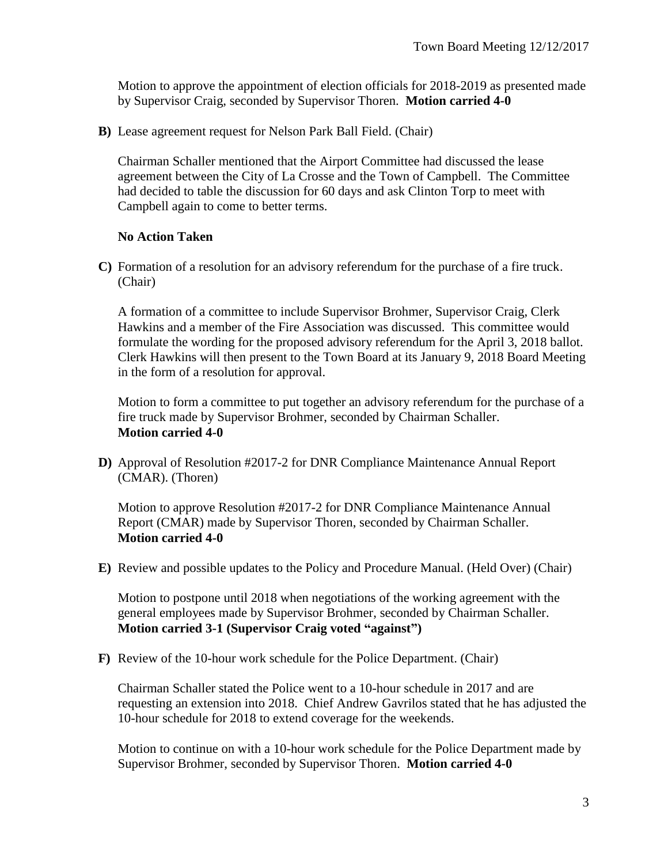Motion to approve the appointment of election officials for 2018-2019 as presented made by Supervisor Craig, seconded by Supervisor Thoren. **Motion carried 4-0**

**B)** Lease agreement request for Nelson Park Ball Field. (Chair)

Chairman Schaller mentioned that the Airport Committee had discussed the lease agreement between the City of La Crosse and the Town of Campbell. The Committee had decided to table the discussion for 60 days and ask Clinton Torp to meet with Campbell again to come to better terms.

### **No Action Taken**

**C)** Formation of a resolution for an advisory referendum for the purchase of a fire truck. (Chair)

A formation of a committee to include Supervisor Brohmer, Supervisor Craig, Clerk Hawkins and a member of the Fire Association was discussed. This committee would formulate the wording for the proposed advisory referendum for the April 3, 2018 ballot. Clerk Hawkins will then present to the Town Board at its January 9, 2018 Board Meeting in the form of a resolution for approval.

Motion to form a committee to put together an advisory referendum for the purchase of a fire truck made by Supervisor Brohmer, seconded by Chairman Schaller. **Motion carried 4-0**

**D)** Approval of Resolution #2017-2 for DNR Compliance Maintenance Annual Report (CMAR). (Thoren)

Motion to approve Resolution #2017-2 for DNR Compliance Maintenance Annual Report (CMAR) made by Supervisor Thoren, seconded by Chairman Schaller. **Motion carried 4-0**

**E)** Review and possible updates to the Policy and Procedure Manual. (Held Over) (Chair)

Motion to postpone until 2018 when negotiations of the working agreement with the general employees made by Supervisor Brohmer, seconded by Chairman Schaller. **Motion carried 3-1 (Supervisor Craig voted "against")**

**F)** Review of the 10-hour work schedule for the Police Department. (Chair)

Chairman Schaller stated the Police went to a 10-hour schedule in 2017 and are requesting an extension into 2018. Chief Andrew Gavrilos stated that he has adjusted the 10-hour schedule for 2018 to extend coverage for the weekends.

Motion to continue on with a 10-hour work schedule for the Police Department made by Supervisor Brohmer, seconded by Supervisor Thoren. **Motion carried 4-0**